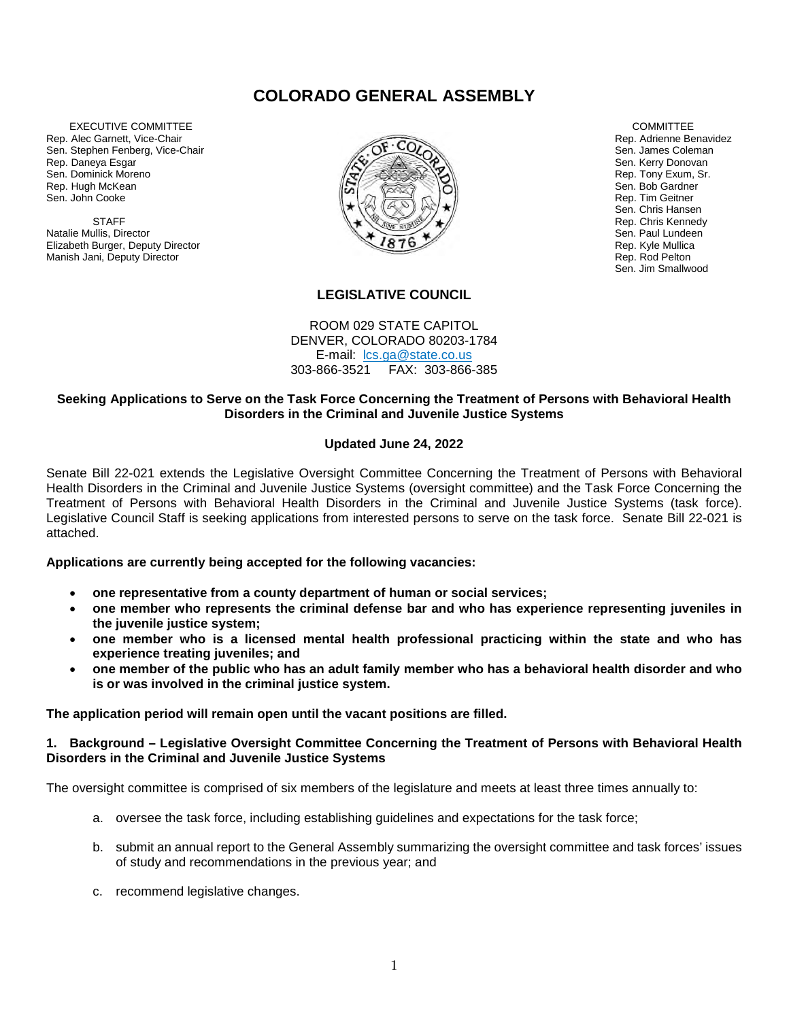# **COLORADO GENERAL ASSEMBLY**

 EXECUTIVE COMMITTEE Rep. Alec Garnett, Vice-Chair Sen. Stephen Fenberg, Vice-Chair Rep. Daneya Esgar Sen. Dominick Moreno Rep. Hugh McKean Sen. John Cooke

**STAFF** Natalie Mullis, Director Elizabeth Burger, Deputy Director Manish Jani, Deputy Director



#### **COMMITTEE** Rep. Adrienne Benavidez Sen. James Coleman Sen. Kerry Donovan Rep. Tony Exum, Sr. Sen. Bob Gardner Rep. Tim Geitner Sen. Chris Hansen Rep. Chris Kennedy Sen. Paul Lundeen Rep. Kyle Mullica Rep. Rod Pelton Sen. Jim Smallwood

## **LEGISLATIVE COUNCIL**

ROOM 029 STATE CAPITOL DENVER, COLORADO 80203-1784 E-mail: [lcs.ga@state.co.us](mailto:lcs.ga@state.co.us) 303-866-3521 FAX: 303-866-385

#### **Seeking Applications to Serve on the Task Force Concerning the Treatment of Persons with Behavioral Health Disorders in the Criminal and Juvenile Justice Systems**

### **Updated June 24, 2022**

Senate Bill 22-021 extends the Legislative Oversight Committee Concerning the Treatment of Persons with Behavioral Health Disorders in the Criminal and Juvenile Justice Systems (oversight committee) and the Task Force Concerning the Treatment of Persons with Behavioral Health Disorders in the Criminal and Juvenile Justice Systems (task force). Legislative Council Staff is seeking applications from interested persons to serve on the task force. Senate Bill 22-021 is attached.

#### **Applications are currently being accepted for the following vacancies:**

- **one representative from a county department of human or social services;**
- **one member who represents the criminal defense bar and who has experience representing juveniles in the juvenile justice system;**
- **one member who is a licensed mental health professional practicing within the state and who has experience treating juveniles; and**
- **one member of the public who has an adult family member who has a behavioral health disorder and who is or was involved in the criminal justice system.**

**The application period will remain open until the vacant positions are filled.**

#### **1. Background – Legislative Oversight Committee Concerning the Treatment of Persons with Behavioral Health Disorders in the Criminal and Juvenile Justice Systems**

The oversight committee is comprised of six members of the legislature and meets at least three times annually to:

- a. oversee the task force, including establishing guidelines and expectations for the task force;
- b. submit an annual report to the General Assembly summarizing the oversight committee and task forces' issues of study and recommendations in the previous year; and
- c. recommend legislative changes.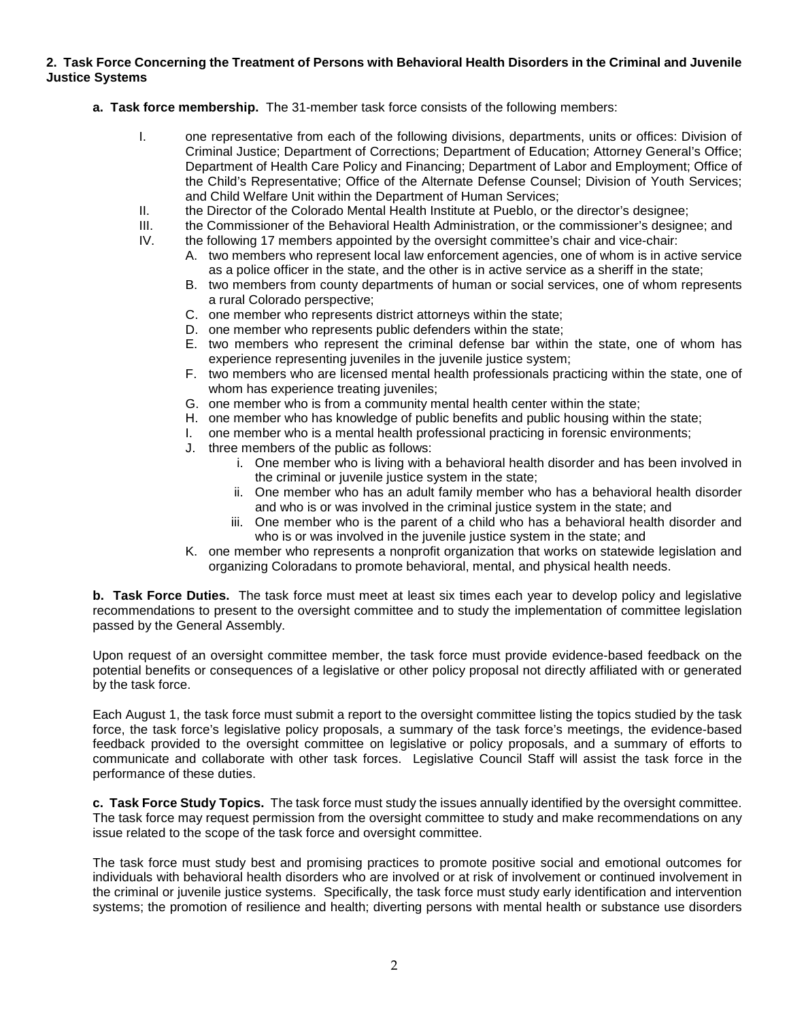#### **2. Task Force Concerning the Treatment of Persons with Behavioral Health Disorders in the Criminal and Juvenile Justice Systems**

- **a. Task force membership.** The 31-member task force consists of the following members:
	- I. one representative from each of the following divisions, departments, units or offices: Division of Criminal Justice; Department of Corrections; Department of Education; Attorney General's Office; Department of Health Care Policy and Financing; Department of Labor and Employment; Office of the Child's Representative; Office of the Alternate Defense Counsel; Division of Youth Services; and Child Welfare Unit within the Department of Human Services;
	- II. the Director of the Colorado Mental Health Institute at Pueblo, or the director's designee;
	- III. the Commissioner of the Behavioral Health Administration, or the commissioner's designee; and
	- IV. the following 17 members appointed by the oversight committee's chair and vice-chair:
		- A. two members who represent local law enforcement agencies, one of whom is in active service as a police officer in the state, and the other is in active service as a sheriff in the state;
		- B. two members from county departments of human or social services, one of whom represents a rural Colorado perspective;
		- C. one member who represents district attorneys within the state;
		- D. one member who represents public defenders within the state;
		- E. two members who represent the criminal defense bar within the state, one of whom has experience representing juveniles in the juvenile justice system;
		- F. two members who are licensed mental health professionals practicing within the state, one of whom has experience treating juveniles;
		- G. one member who is from a community mental health center within the state;
		- H. one member who has knowledge of public benefits and public housing within the state;
		- I. one member who is a mental health professional practicing in forensic environments;
		- J. three members of the public as follows:
			- i. One member who is living with a behavioral health disorder and has been involved in the criminal or juvenile justice system in the state;
			- ii. One member who has an adult family member who has a behavioral health disorder and who is or was involved in the criminal justice system in the state; and
			- iii. One member who is the parent of a child who has a behavioral health disorder and who is or was involved in the juvenile justice system in the state; and
		- K. one member who represents a nonprofit organization that works on statewide legislation and organizing Coloradans to promote behavioral, mental, and physical health needs.

**b. Task Force Duties.** The task force must meet at least six times each year to develop policy and legislative recommendations to present to the oversight committee and to study the implementation of committee legislation passed by the General Assembly.

Upon request of an oversight committee member, the task force must provide evidence-based feedback on the potential benefits or consequences of a legislative or other policy proposal not directly affiliated with or generated by the task force.

Each August 1, the task force must submit a report to the oversight committee listing the topics studied by the task force, the task force's legislative policy proposals, a summary of the task force's meetings, the evidence-based feedback provided to the oversight committee on legislative or policy proposals, and a summary of efforts to communicate and collaborate with other task forces. Legislative Council Staff will assist the task force in the performance of these duties.

**c. Task Force Study Topics.** The task force must study the issues annually identified by the oversight committee. The task force may request permission from the oversight committee to study and make recommendations on any issue related to the scope of the task force and oversight committee.

The task force must study best and promising practices to promote positive social and emotional outcomes for individuals with behavioral health disorders who are involved or at risk of involvement or continued involvement in the criminal or juvenile justice systems. Specifically, the task force must study early identification and intervention systems; the promotion of resilience and health; diverting persons with mental health or substance use disorders